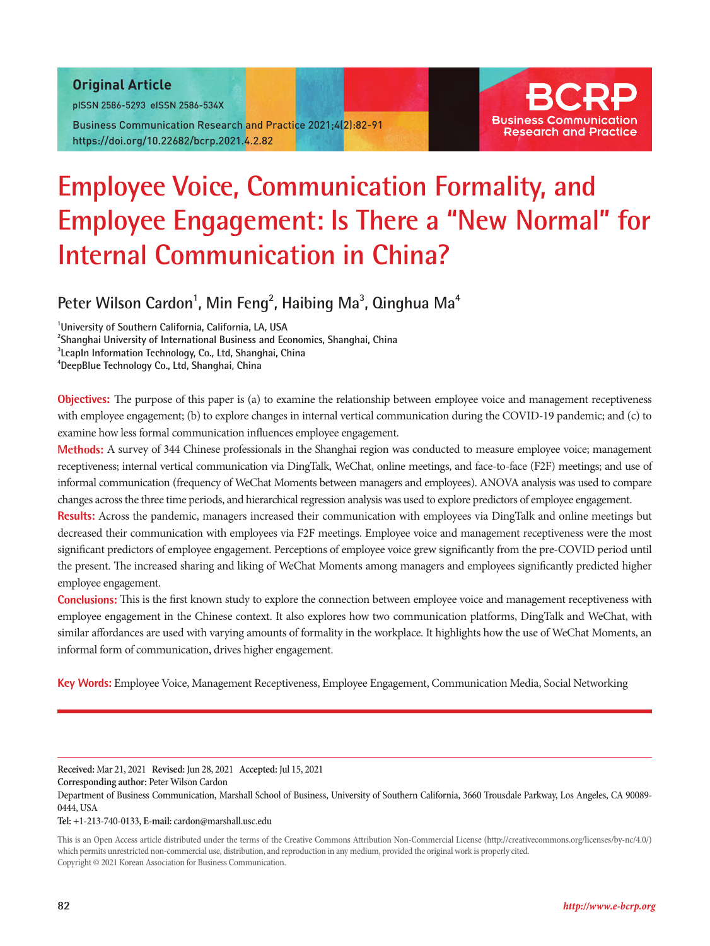#### Original Article

pISSN 2586-5293 eISSN 2586-534X

Business Communication Research and Practice 2021;4(2):82-91 https://doi.org/10.22682/bcrp.2021.4.2.82



# **Employee Voice, Communication Formality, and Employee Engagement: Is There a "New Normal" for Internal Communication in China?**

# Peter Wilson Cardon<sup>1</sup>, Min Feng<sup>2</sup>, Haibing Ma<sup>3</sup>, Qinghua Ma<sup>4</sup>

 **University of Southern California, California, LA, USA Shanghai University of International Business and Economics, Shanghai, China LeapIn Information Technology, Co., Ltd, Shanghai, China DeepBlue Technology Co., Ltd, Shanghai, China**

**Objectives:** The purpose of this paper is (a) to examine the relationship between employee voice and management receptiveness with employee engagement; (b) to explore changes in internal vertical communication during the COVID-19 pandemic; and (c) to examine how less formal communication influences employee engagement.

**Methods:** A survey of 344 Chinese professionals in the Shanghai region was conducted to measure employee voice; management receptiveness; internal vertical communication via DingTalk, WeChat, online meetings, and face-to-face (F2F) meetings; and use of informal communication (frequency of WeChat Moments between managers and employees). ANOVA analysis was used to compare changes across the three time periods, and hierarchical regression analysis was used to explore predictors of employee engagement.

**Results:** Across the pandemic, managers increased their communication with employees via DingTalk and online meetings but decreased their communication with employees via F2F meetings. Employee voice and management receptiveness were the most significant predictors of employee engagement. Perceptions of employee voice grew significantly from the pre-COVID period until the present. The increased sharing and liking of WeChat Moments among managers and employees significantly predicted higher employee engagement.

**Conclusions:** This is the first known study to explore the connection between employee voice and management receptiveness with employee engagement in the Chinese context. It also explores how two communication platforms, DingTalk and WeChat, with similar affordances are used with varying amounts of formality in the workplace. It highlights how the use of WeChat Moments, an informal form of communication, drives higher engagement.

**Key Words:** Employee Voice, Management Receptiveness, Employee Engagement, Communication Media, Social Networking

**Received:** Mar 21, 2021 **Revised:** Jun 28, 2021 **Accepted:** Jul 15, 2021

**Corresponding author:** Peter Wilson Cardon

Department of Business Communication, Marshall School of Business, University of Southern California, 3660 Trousdale Parkway, Los Angeles, CA 90089- 0444, USA

**Tel:** +1-213-740-0133, **E-mail:** cardon@marshall.usc.edu

This is an Open Access article distributed under the terms of the Creative Commons Attribution Non-Commercial License (http://creativecommons.org/licenses/by-nc/4.0/) which permits unrestricted non-commercial use, distribution, and reproduction in any medium, provided the original work is properly cited. Copyright © 2021 Korean Association for Business Communication.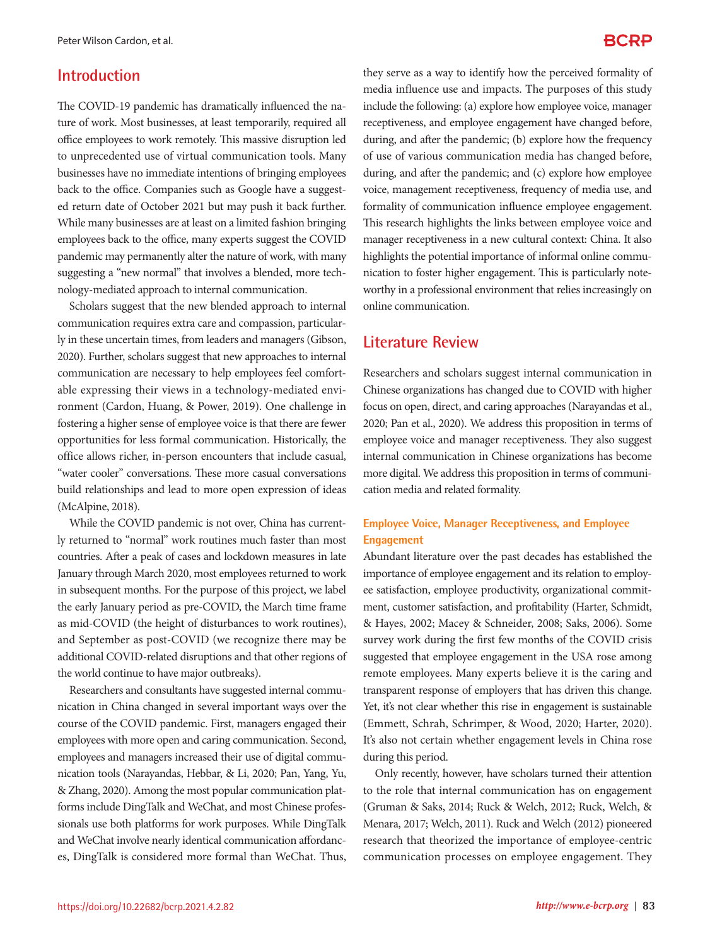#### **Introduction**

The COVID-19 pandemic has dramatically influenced the nature of work. Most businesses, at least temporarily, required all office employees to work remotely. This massive disruption led to unprecedented use of virtual communication tools. Many businesses have no immediate intentions of bringing employees back to the office. Companies such as Google have a suggested return date of October 2021 but may push it back further. While many businesses are at least on a limited fashion bringing employees back to the office, many experts suggest the COVID pandemic may permanently alter the nature of work, with many suggesting a "new normal" that involves a blended, more technology-mediated approach to internal communication.

Scholars suggest that the new blended approach to internal communication requires extra care and compassion, particularly in these uncertain times, from leaders and managers (Gibson, 2020). Further, scholars suggest that new approaches to internal communication are necessary to help employees feel comfortable expressing their views in a technology-mediated environment (Cardon, Huang, & Power, 2019). One challenge in fostering a higher sense of employee voice is that there are fewer opportunities for less formal communication. Historically, the office allows richer, in-person encounters that include casual, "water cooler" conversations. These more casual conversations build relationships and lead to more open expression of ideas (McAlpine, 2018).

While the COVID pandemic is not over, China has currently returned to "normal" work routines much faster than most countries. After a peak of cases and lockdown measures in late January through March 2020, most employees returned to work in subsequent months. For the purpose of this project, we label the early January period as pre-COVID, the March time frame as mid-COVID (the height of disturbances to work routines), and September as post-COVID (we recognize there may be additional COVID-related disruptions and that other regions of the world continue to have major outbreaks).

Researchers and consultants have suggested internal communication in China changed in several important ways over the course of the COVID pandemic. First, managers engaged their employees with more open and caring communication. Second, employees and managers increased their use of digital communication tools (Narayandas, Hebbar, & Li, 2020; Pan, Yang, Yu, & Zhang, 2020). Among the most popular communication platforms include DingTalk and WeChat, and most Chinese professionals use both platforms for work purposes. While DingTalk and WeChat involve nearly identical communication affordances, DingTalk is considered more formal than WeChat. Thus,

they serve as a way to identify how the perceived formality of media influence use and impacts. The purposes of this study include the following: (a) explore how employee voice, manager receptiveness, and employee engagement have changed before, during, and after the pandemic; (b) explore how the frequency of use of various communication media has changed before, during, and after the pandemic; and (c) explore how employee voice, management receptiveness, frequency of media use, and formality of communication influence employee engagement. This research highlights the links between employee voice and manager receptiveness in a new cultural context: China. It also highlights the potential importance of informal online communication to foster higher engagement. This is particularly noteworthy in a professional environment that relies increasingly on online communication.

#### **Literature Review**

Researchers and scholars suggest internal communication in Chinese organizations has changed due to COVID with higher focus on open, direct, and caring approaches (Narayandas et al., 2020; Pan et al., 2020). We address this proposition in terms of employee voice and manager receptiveness. They also suggest internal communication in Chinese organizations has become more digital. We address this proposition in terms of communication media and related formality.

#### **Employee Voice, Manager Receptiveness, and Employee Engagement**

Abundant literature over the past decades has established the importance of employee engagement and its relation to employee satisfaction, employee productivity, organizational commitment, customer satisfaction, and profitability (Harter, Schmidt, & Hayes, 2002; Macey & Schneider, 2008; Saks, 2006). Some survey work during the first few months of the COVID crisis suggested that employee engagement in the USA rose among remote employees. Many experts believe it is the caring and transparent response of employers that has driven this change. Yet, it's not clear whether this rise in engagement is sustainable (Emmett, Schrah, Schrimper, & Wood, 2020; Harter, 2020). It's also not certain whether engagement levels in China rose during this period.

Only recently, however, have scholars turned their attention to the role that internal communication has on engagement (Gruman & Saks, 2014; Ruck & Welch, 2012; Ruck, Welch, & Menara, 2017; Welch, 2011). Ruck and Welch (2012) pioneered research that theorized the importance of employee-centric communication processes on employee engagement. They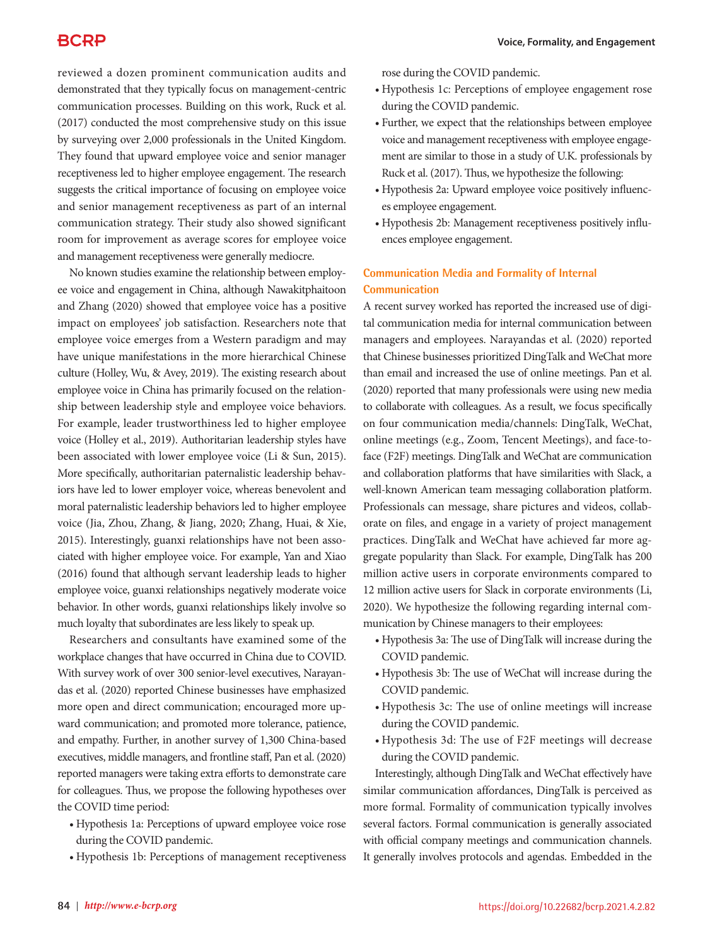reviewed a dozen prominent communication audits and demonstrated that they typically focus on management-centric communication processes. Building on this work, Ruck et al. (2017) conducted the most comprehensive study on this issue by surveying over 2,000 professionals in the United Kingdom. They found that upward employee voice and senior manager receptiveness led to higher employee engagement. The research suggests the critical importance of focusing on employee voice and senior management receptiveness as part of an internal communication strategy. Their study also showed significant room for improvement as average scores for employee voice and management receptiveness were generally mediocre.

No known studies examine the relationship between employee voice and engagement in China, although Nawakitphaitoon and Zhang (2020) showed that employee voice has a positive impact on employees' job satisfaction. Researchers note that employee voice emerges from a Western paradigm and may have unique manifestations in the more hierarchical Chinese culture (Holley, Wu, & Avey, 2019). The existing research about employee voice in China has primarily focused on the relationship between leadership style and employee voice behaviors. For example, leader trustworthiness led to higher employee voice (Holley et al., 2019). Authoritarian leadership styles have been associated with lower employee voice (Li & Sun, 2015). More specifically, authoritarian paternalistic leadership behaviors have led to lower employer voice, whereas benevolent and moral paternalistic leadership behaviors led to higher employee voice (Jia, Zhou, Zhang, & Jiang, 2020; Zhang, Huai, & Xie, 2015). Interestingly, guanxi relationships have not been associated with higher employee voice. For example, Yan and Xiao (2016) found that although servant leadership leads to higher employee voice, guanxi relationships negatively moderate voice behavior. In other words, guanxi relationships likely involve so much loyalty that subordinates are less likely to speak up.

Researchers and consultants have examined some of the workplace changes that have occurred in China due to COVID. With survey work of over 300 senior-level executives, Narayandas et al. (2020) reported Chinese businesses have emphasized more open and direct communication; encouraged more upward communication; and promoted more tolerance, patience, and empathy. Further, in another survey of 1,300 China-based executives, middle managers, and frontline staff, Pan et al. (2020) reported managers were taking extra efforts to demonstrate care for colleagues. Thus, we propose the following hypotheses over the COVID time period:

- • Hypothesis 1a: Perceptions of upward employee voice rose during the COVID pandemic.
- • Hypothesis 1b: Perceptions of management receptiveness

rose during the COVID pandemic.

- • Hypothesis 1c: Perceptions of employee engagement rose during the COVID pandemic.
- Further, we expect that the relationships between employee voice and management receptiveness with employee engagement are similar to those in a study of U.K. professionals by Ruck et al. (2017). Thus, we hypothesize the following:
- Hypothesis 2a: Upward employee voice positively influences employee engagement.
- • Hypothesis 2b: Management receptiveness positively influences employee engagement.

#### **Communication Media and Formality of Internal Communication**

A recent survey worked has reported the increased use of digital communication media for internal communication between managers and employees. Narayandas et al. (2020) reported that Chinese businesses prioritized DingTalk and WeChat more than email and increased the use of online meetings. Pan et al. (2020) reported that many professionals were using new media to collaborate with colleagues. As a result, we focus specifically on four communication media/channels: DingTalk, WeChat, online meetings (e.g., Zoom, Tencent Meetings), and face-toface (F2F) meetings. DingTalk and WeChat are communication and collaboration platforms that have similarities with Slack, a well-known American team messaging collaboration platform. Professionals can message, share pictures and videos, collaborate on files, and engage in a variety of project management practices. DingTalk and WeChat have achieved far more aggregate popularity than Slack. For example, DingTalk has 200 million active users in corporate environments compared to 12 million active users for Slack in corporate environments (Li, 2020). We hypothesize the following regarding internal communication by Chinese managers to their employees:

- • Hypothesis 3a: The use of DingTalk will increase during the COVID pandemic.
- • Hypothesis 3b: The use of WeChat will increase during the COVID pandemic.
- • Hypothesis 3c: The use of online meetings will increase during the COVID pandemic.
- • Hypothesis 3d: The use of F2F meetings will decrease during the COVID pandemic.

Interestingly, although DingTalk and WeChat effectively have similar communication affordances, DingTalk is perceived as more formal. Formality of communication typically involves several factors. Formal communication is generally associated with official company meetings and communication channels. It generally involves protocols and agendas. Embedded in the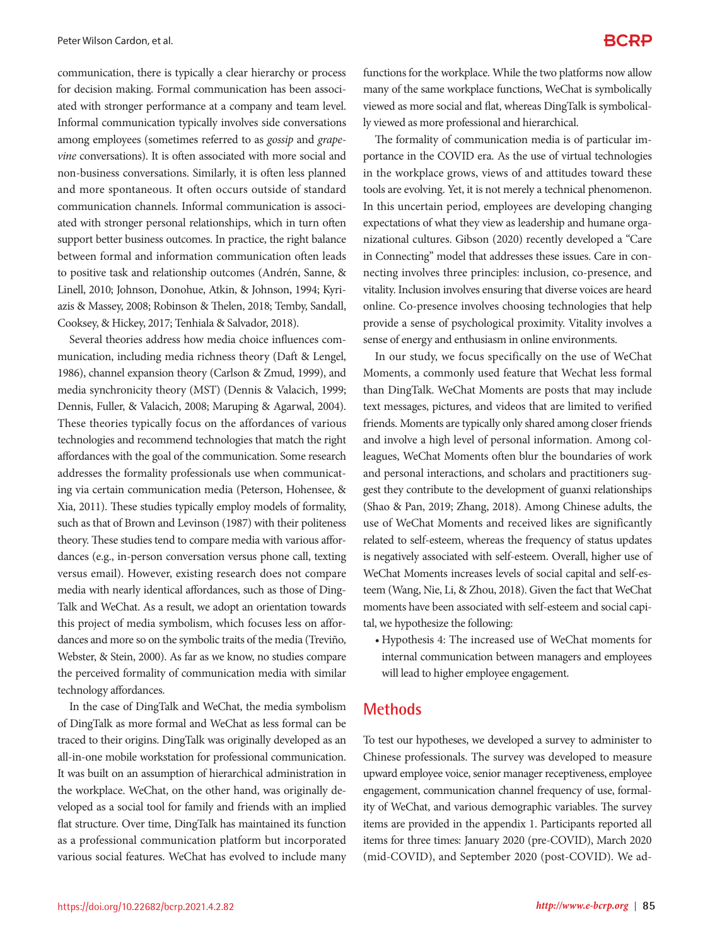communication, there is typically a clear hierarchy or process for decision making. Formal communication has been associated with stronger performance at a company and team level. Informal communication typically involves side conversations among employees (sometimes referred to as *gossip* and *grapevine* conversations). It is often associated with more social and non-business conversations. Similarly, it is often less planned and more spontaneous. It often occurs outside of standard communication channels. Informal communication is associated with stronger personal relationships, which in turn often support better business outcomes. In practice, the right balance between formal and information communication often leads to positive task and relationship outcomes (Andrén, Sanne, & Linell, 2010; Johnson, Donohue, Atkin, & Johnson, 1994; Kyriazis & Massey, 2008; Robinson & Thelen, 2018; Temby, Sandall, Cooksey, & Hickey, 2017; Tenhiala & Salvador, 2018).

Several theories address how media choice influences communication, including media richness theory (Daft & Lengel, 1986), channel expansion theory (Carlson & Zmud, 1999), and media synchronicity theory (MST) (Dennis & Valacich, 1999; Dennis, Fuller, & Valacich, 2008; Maruping & Agarwal, 2004). These theories typically focus on the affordances of various technologies and recommend technologies that match the right affordances with the goal of the communication. Some research addresses the formality professionals use when communicating via certain communication media (Peterson, Hohensee, & Xia, 2011). These studies typically employ models of formality, such as that of Brown and Levinson (1987) with their politeness theory. These studies tend to compare media with various affordances (e.g., in-person conversation versus phone call, texting versus email). However, existing research does not compare media with nearly identical affordances, such as those of Ding-Talk and WeChat. As a result, we adopt an orientation towards this project of media symbolism, which focuses less on affordances and more so on the symbolic traits of the media (Treviño, Webster, & Stein, 2000). As far as we know, no studies compare the perceived formality of communication media with similar technology affordances.

In the case of DingTalk and WeChat, the media symbolism of DingTalk as more formal and WeChat as less formal can be traced to their origins. DingTalk was originally developed as an all-in-one mobile workstation for professional communication. It was built on an assumption of hierarchical administration in the workplace. WeChat, on the other hand, was originally developed as a social tool for family and friends with an implied flat structure. Over time, DingTalk has maintained its function as a professional communication platform but incorporated various social features. WeChat has evolved to include many

functions for the workplace. While the two platforms now allow many of the same workplace functions, WeChat is symbolically viewed as more social and flat, whereas DingTalk is symbolically viewed as more professional and hierarchical.

The formality of communication media is of particular importance in the COVID era. As the use of virtual technologies in the workplace grows, views of and attitudes toward these tools are evolving. Yet, it is not merely a technical phenomenon. In this uncertain period, employees are developing changing expectations of what they view as leadership and humane organizational cultures. Gibson (2020) recently developed a "Care in Connecting" model that addresses these issues. Care in connecting involves three principles: inclusion, co-presence, and vitality. Inclusion involves ensuring that diverse voices are heard online. Co-presence involves choosing technologies that help provide a sense of psychological proximity. Vitality involves a sense of energy and enthusiasm in online environments.

In our study, we focus specifically on the use of WeChat Moments, a commonly used feature that Wechat less formal than DingTalk. WeChat Moments are posts that may include text messages, pictures, and videos that are limited to verified friends. Moments are typically only shared among closer friends and involve a high level of personal information. Among colleagues, WeChat Moments often blur the boundaries of work and personal interactions, and scholars and practitioners suggest they contribute to the development of guanxi relationships (Shao & Pan, 2019; Zhang, 2018). Among Chinese adults, the use of WeChat Moments and received likes are significantly related to self-esteem, whereas the frequency of status updates is negatively associated with self-esteem. Overall, higher use of WeChat Moments increases levels of social capital and self-esteem (Wang, Nie, Li, & Zhou, 2018). Given the fact that WeChat moments have been associated with self-esteem and social capital, we hypothesize the following:

• Hypothesis 4: The increased use of WeChat moments for internal communication between managers and employees will lead to higher employee engagement.

#### **Methods**

To test our hypotheses, we developed a survey to administer to Chinese professionals. The survey was developed to measure upward employee voice, senior manager receptiveness, employee engagement, communication channel frequency of use, formality of WeChat, and various demographic variables. The survey items are provided in the appendix 1. Participants reported all items for three times: January 2020 (pre-COVID), March 2020 (mid-COVID), and September 2020 (post-COVID). We ad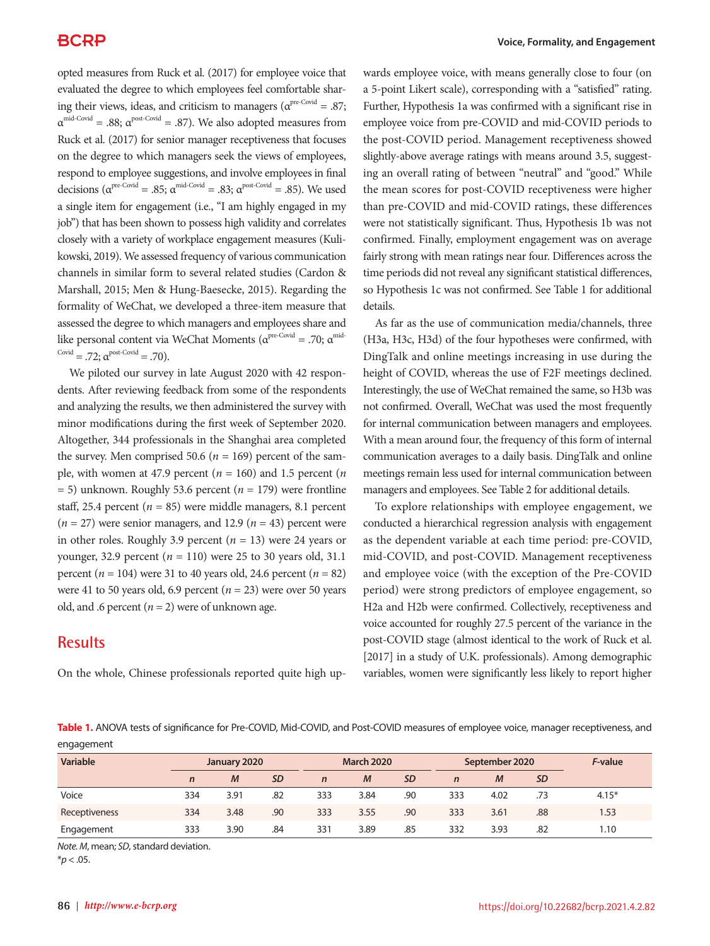opted measures from Ruck et al. (2017) for employee voice that evaluated the degree to which employees feel comfortable sharing their views, ideas, and criticism to managers ( $\alpha^{\text{pre-Covid}} = .87$ ;  $\alpha^{\text{mid-Covid}} = .88; \ \alpha^{\text{post-Covid}} = .87$ ). We also adopted measures from Ruck et al. (2017) for senior manager receptiveness that focuses on the degree to which managers seek the views of employees, respond to employee suggestions, and involve employees in final decisions ( $\alpha^{\text{pre-Covid}} = .85$ ;  $\alpha^{\text{mid-Covid}} = .83$ ;  $\alpha^{\text{post-Covid}} = .85$ ). We used a single item for engagement (i.e., "I am highly engaged in my job") that has been shown to possess high validity and correlates closely with a variety of workplace engagement measures (Kulikowski, 2019). We assessed frequency of various communication channels in similar form to several related studies (Cardon & Marshall, 2015; Men & Hung-Baesecke, 2015). Regarding the formality of WeChat, we developed a three-item measure that assessed the degree to which managers and employees share and like personal content via WeChat Moments ( $\alpha^{\text{pre-Covid}}$  = .70;  $\alpha^{\text{mid}}$ Covid = .72;  $\alpha^{\text{post-Covid}}$  = .70).

We piloted our survey in late August 2020 with 42 respondents. After reviewing feedback from some of the respondents and analyzing the results, we then administered the survey with minor modifications during the first week of September 2020. Altogether, 344 professionals in the Shanghai area completed the survey. Men comprised 50.6 ( $n = 169$ ) percent of the sample, with women at 47.9 percent ( $n = 160$ ) and 1.5 percent ( $n = 160$ ) = 5) unknown. Roughly 53.6 percent (*n* = 179) were frontline staff, 25.4 percent  $(n = 85)$  were middle managers, 8.1 percent  $(n = 27)$  were senior managers, and 12.9  $(n = 43)$  percent were in other roles. Roughly 3.9 percent (*n* = 13) were 24 years or younger, 32.9 percent (*n* = 110) were 25 to 30 years old, 31.1 percent ( $n = 104$ ) were 31 to 40 years old, 24.6 percent ( $n = 82$ ) were 41 to 50 years old, 6.9 percent  $(n = 23)$  were over 50 years old, and .6 percent  $(n = 2)$  were of unknown age.

## **Results**

On the whole, Chinese professionals reported quite high up-

wards employee voice, with means generally close to four (on a 5-point Likert scale), corresponding with a "satisfied" rating. Further, Hypothesis 1a was confirmed with a significant rise in employee voice from pre-COVID and mid-COVID periods to the post-COVID period. Management receptiveness showed slightly-above average ratings with means around 3.5, suggesting an overall rating of between "neutral" and "good." While the mean scores for post-COVID receptiveness were higher than pre-COVID and mid-COVID ratings, these differences were not statistically significant. Thus, Hypothesis 1b was not confirmed. Finally, employment engagement was on average fairly strong with mean ratings near four. Differences across the time periods did not reveal any significant statistical differences, so Hypothesis 1c was not confirmed. See Table 1 for additional details.

As far as the use of communication media/channels, three (H3a, H3c, H3d) of the four hypotheses were confirmed, with DingTalk and online meetings increasing in use during the height of COVID, whereas the use of F2F meetings declined. Interestingly, the use of WeChat remained the same, so H3b was not confirmed. Overall, WeChat was used the most frequently for internal communication between managers and employees. With a mean around four, the frequency of this form of internal communication averages to a daily basis. DingTalk and online meetings remain less used for internal communication between managers and employees. See Table 2 for additional details.

To explore relationships with employee engagement, we conducted a hierarchical regression analysis with engagement as the dependent variable at each time period: pre-COVID, mid-COVID, and post-COVID. Management receptiveness and employee voice (with the exception of the Pre-COVID period) were strong predictors of employee engagement, so H2a and H2b were confirmed. Collectively, receptiveness and voice accounted for roughly 27.5 percent of the variance in the post-COVID stage (almost identical to the work of Ruck et al. [2017] in a study of U.K. professionals). Among demographic variables, women were significantly less likely to report higher

**Table 1.** ANOVA tests of significance for Pre-COVID, Mid-COVID, and Post-COVID measures of employee voice, manager receptiveness, and engagement

| Variable      | January 2020 |               |           | <b>March 2020</b> |               |           | September 2020 |               |           | F-value |
|---------------|--------------|---------------|-----------|-------------------|---------------|-----------|----------------|---------------|-----------|---------|
|               | $\mathbf n$  | $\mathcal{M}$ | <b>SD</b> | $\mathsf{n}$      | $\mathcal{M}$ | <b>SD</b> | $\mathbf n$    | $\mathcal{M}$ | <b>SD</b> |         |
| Voice         | 334          | 3.91          | .82       | 333               | 3.84          | .90       | 333            | 4.02          | .73       | $4.15*$ |
| Receptiveness | 334          | 3.48          | .90       | 333               | 3.55          | .90       | 333            | 3.61          | .88       | 1.53    |
| Engagement    | 333          | 3.90          | .84       | 331               | 3.89          | .85       | 332            | 3.93          | .82       | 1.10    |

*Note. M*, mean; *SD*, standard deviation.

 $*$ *p* < .05.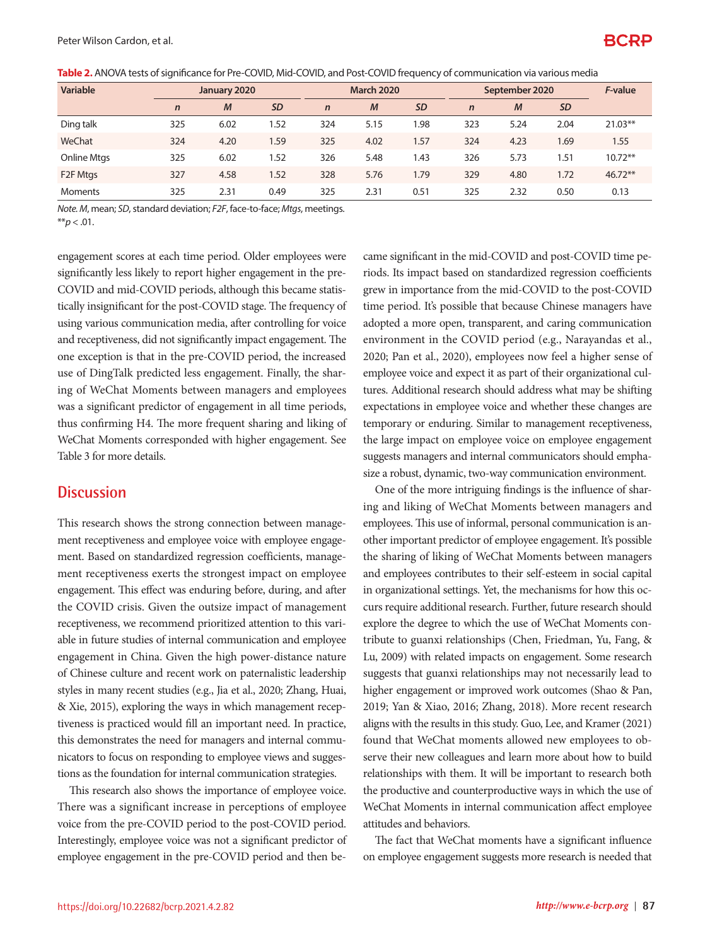| Variable              | January 2020 |                | <b>March 2020</b> |             |               | September 2020 |             |               | F-value   |           |
|-----------------------|--------------|----------------|-------------------|-------------|---------------|----------------|-------------|---------------|-----------|-----------|
|                       | $\mathsf{n}$ | $\overline{M}$ | <b>SD</b>         | $\mathbf n$ | $\mathcal{M}$ | <b>SD</b>      | $\mathbf n$ | $\mathcal{M}$ | <b>SD</b> |           |
| Ding talk             | 325          | 6.02           | 1.52              | 324         | 5.15          | 1.98           | 323         | 5.24          | 2.04      | $21.03**$ |
| WeChat                | 324          | 4.20           | 1.59              | 325         | 4.02          | 1.57           | 324         | 4.23          | 1.69      | 1.55      |
| <b>Online Mtgs</b>    | 325          | 6.02           | 1.52              | 326         | 5.48          | 1.43           | 326         | 5.73          | 1.51      | $10.72**$ |
| F <sub>2</sub> F Mtgs | 327          | 4.58           | 1.52              | 328         | 5.76          | 1.79           | 329         | 4.80          | 1.72      | $46.72**$ |
| <b>Moments</b>        | 325          | 2.31           | 0.49              | 325         | 2.31          | 0.51           | 325         | 2.32          | 0.50      | 0.13      |

**Table 2.** ANOVA tests of significance for Pre-COVID, Mid-COVID, and Post-COVID frequency of communication via various media

*Note. M*, mean; *SD*, standard deviation; *F2F*, face-to-face; *Mtgs*, meetings.

 $*$ *r* $> 0.01$ .

engagement scores at each time period. Older employees were significantly less likely to report higher engagement in the pre-COVID and mid-COVID periods, although this became statistically insignificant for the post-COVID stage. The frequency of using various communication media, after controlling for voice and receptiveness, did not significantly impact engagement. The one exception is that in the pre-COVID period, the increased use of DingTalk predicted less engagement. Finally, the sharing of WeChat Moments between managers and employees was a significant predictor of engagement in all time periods, thus confirming H4. The more frequent sharing and liking of WeChat Moments corresponded with higher engagement. See Table 3 for more details.

### **Discussion**

This research shows the strong connection between management receptiveness and employee voice with employee engagement. Based on standardized regression coefficients, management receptiveness exerts the strongest impact on employee engagement. This effect was enduring before, during, and after the COVID crisis. Given the outsize impact of management receptiveness, we recommend prioritized attention to this variable in future studies of internal communication and employee engagement in China. Given the high power-distance nature of Chinese culture and recent work on paternalistic leadership styles in many recent studies (e.g., Jia et al., 2020; Zhang, Huai, & Xie, 2015), exploring the ways in which management receptiveness is practiced would fill an important need. In practice, this demonstrates the need for managers and internal communicators to focus on responding to employee views and suggestions as the foundation for internal communication strategies.

This research also shows the importance of employee voice. There was a significant increase in perceptions of employee voice from the pre-COVID period to the post-COVID period. Interestingly, employee voice was not a significant predictor of employee engagement in the pre-COVID period and then be-

came significant in the mid-COVID and post-COVID time periods. Its impact based on standardized regression coefficients grew in importance from the mid-COVID to the post-COVID time period. It's possible that because Chinese managers have adopted a more open, transparent, and caring communication environment in the COVID period (e.g., Narayandas et al., 2020; Pan et al., 2020), employees now feel a higher sense of employee voice and expect it as part of their organizational cultures. Additional research should address what may be shifting expectations in employee voice and whether these changes are temporary or enduring. Similar to management receptiveness, the large impact on employee voice on employee engagement suggests managers and internal communicators should emphasize a robust, dynamic, two-way communication environment.

One of the more intriguing findings is the influence of sharing and liking of WeChat Moments between managers and employees. This use of informal, personal communication is another important predictor of employee engagement. It's possible the sharing of liking of WeChat Moments between managers and employees contributes to their self-esteem in social capital in organizational settings. Yet, the mechanisms for how this occurs require additional research. Further, future research should explore the degree to which the use of WeChat Moments contribute to guanxi relationships (Chen, Friedman, Yu, Fang, & Lu, 2009) with related impacts on engagement. Some research suggests that guanxi relationships may not necessarily lead to higher engagement or improved work outcomes (Shao & Pan, 2019; Yan & Xiao, 2016; Zhang, 2018). More recent research aligns with the results in this study. Guo, Lee, and Kramer (2021) found that WeChat moments allowed new employees to observe their new colleagues and learn more about how to build relationships with them. It will be important to research both the productive and counterproductive ways in which the use of WeChat Moments in internal communication affect employee attitudes and behaviors.

The fact that WeChat moments have a significant influence on employee engagement suggests more research is needed that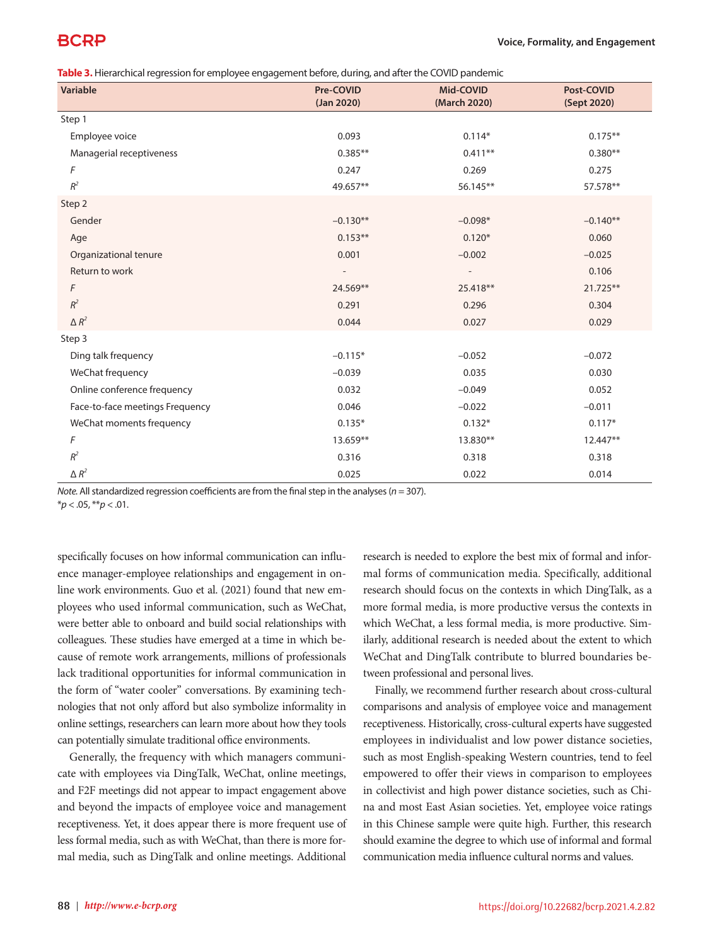# BCRP

**Table 3.** Hierarchical regression for employee engagement before, during, and after the COVID pandemic

| Variable                        | Pre-COVID<br>(Jan 2020) | Mid-COVID<br>(March 2020) | Post-COVID<br>(Sept 2020) |
|---------------------------------|-------------------------|---------------------------|---------------------------|
| Step 1                          |                         |                           |                           |
| Employee voice                  | 0.093                   | $0.114*$                  | $0.175**$                 |
| Managerial receptiveness        | $0.385**$               | $0.411***$                | $0.380**$                 |
| F                               | 0.247                   | 0.269                     | 0.275                     |
| $R^2$                           | 49.657**                | 56.145**                  | 57.578**                  |
| Step 2                          |                         |                           |                           |
| Gender                          | $-0.130**$              | $-0.098*$                 | $-0.140**$                |
| Age                             | $0.153**$               | $0.120*$                  | 0.060                     |
| Organizational tenure           | 0.001                   | $-0.002$                  | $-0.025$                  |
| Return to work                  |                         | $\overline{\phantom{a}}$  | 0.106                     |
| F                               | 24.569**                | 25.418**                  | 21.725**                  |
| $R^2$                           | 0.291                   | 0.296                     | 0.304                     |
| $\Delta R^2$                    | 0.044                   | 0.027                     | 0.029                     |
| Step 3                          |                         |                           |                           |
| Ding talk frequency             | $-0.115*$               | $-0.052$                  | $-0.072$                  |
| WeChat frequency                | $-0.039$                | 0.035                     | 0.030                     |
| Online conference frequency     | 0.032                   | $-0.049$                  | 0.052                     |
| Face-to-face meetings Frequency | 0.046                   | $-0.022$                  | $-0.011$                  |
| WeChat moments frequency        | $0.135*$                | $0.132*$                  | $0.117*$                  |
| F                               | 13.659**                | 13.830**                  | 12.447**                  |
| $R^2$                           | 0.316                   | 0.318                     | 0.318                     |
| $\Delta R^2$                    | 0.025                   | 0.022                     | 0.014                     |

*Note.* All standardized regression coefficients are from the final step in the analyses (*n* = 307).

specifically focuses on how informal communication can influence manager-employee relationships and engagement in online work environments. Guo et al. (2021) found that new employees who used informal communication, such as WeChat, were better able to onboard and build social relationships with colleagues. These studies have emerged at a time in which because of remote work arrangements, millions of professionals lack traditional opportunities for informal communication in the form of "water cooler" conversations. By examining technologies that not only afford but also symbolize informality in online settings, researchers can learn more about how they tools can potentially simulate traditional office environments.

Generally, the frequency with which managers communicate with employees via DingTalk, WeChat, online meetings, and F2F meetings did not appear to impact engagement above and beyond the impacts of employee voice and management receptiveness. Yet, it does appear there is more frequent use of less formal media, such as with WeChat, than there is more formal media, such as DingTalk and online meetings. Additional research is needed to explore the best mix of formal and informal forms of communication media. Specifically, additional research should focus on the contexts in which DingTalk, as a more formal media, is more productive versus the contexts in which WeChat, a less formal media, is more productive. Similarly, additional research is needed about the extent to which WeChat and DingTalk contribute to blurred boundaries between professional and personal lives.

Finally, we recommend further research about cross-cultural comparisons and analysis of employee voice and management receptiveness. Historically, cross-cultural experts have suggested employees in individualist and low power distance societies, such as most English-speaking Western countries, tend to feel empowered to offer their views in comparison to employees in collectivist and high power distance societies, such as China and most East Asian societies. Yet, employee voice ratings in this Chinese sample were quite high. Further, this research should examine the degree to which use of informal and formal communication media influence cultural norms and values.

<sup>\*</sup>*p* < .05, \*\**p* < .01.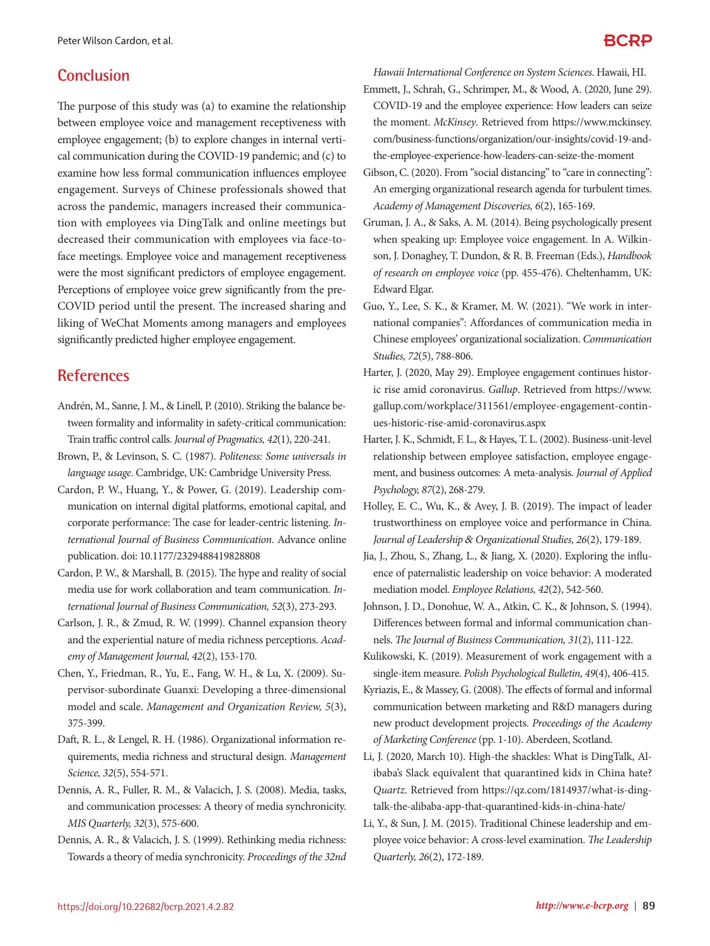## **Conclusion**

The purpose of this study was (a) to examine the relationship between employee voice and management receptiveness with employee engagement; (b) to explore changes in internal vertical communication during the COVID-19 pandemic; and (c) to examine how less formal communication influences employee engagement. Surveys of Chinese professionals showed that across the pandemic, managers increased their communication with employees via DingTalk and online meetings but decreased their communication with employees via face-toface meetings. Employee voice and management receptiveness were the most significant predictors of employee engagement. Perceptions of employee voice grew significantly from the pre-COVID period until the present. The increased sharing and liking of WeChat Moments among managers and employees significantly predicted higher employee engagement.

## **References**

- Andrén, M., Sanne, J. M., & Linell, P. (2010). Striking the balance between formality and informality in safety-critical communication: Train traffic control calls. *Journal of Pragmatics, 42*(1), 220-241.
- Brown, P., & Levinson, S. C. (1987). *Politeness: Some universals in language usage*. Cambridge, UK: Cambridge University Press.
- Cardon, P. W., Huang, Y., & Power, G. (2019). Leadership communication on internal digital platforms, emotional capital, and corporate performance: The case for leader-centric listening. *International Journal of Business Communication*. Advance online publication. doi: 10.1177/2329488419828808
- Cardon, P. W., & Marshall, B. (2015). The hype and reality of social media use for work collaboration and team communication. *International Journal of Business Communication, 52*(3), 273-293.
- Carlson, J. R., & Zmud, R. W. (1999). Channel expansion theory and the experiential nature of media richness perceptions. *Academy of Management Journal, 42*(2), 153-170.
- Chen, Y., Friedman, R., Yu, E., Fang, W. H., & Lu, X. (2009). Supervisor-subordinate Guanxi: Developing a three-dimensional model and scale. *Management and Organization Review, 5*(3), 375-399.
- Daft, R. L., & Lengel, R. H. (1986). Organizational information requirements, media richness and structural design. *Management Science, 32*(5), 554-571.
- Dennis, A. R., Fuller, R. M., & Valacich, J. S. (2008). Media, tasks, and communication processes: A theory of media synchronicity. *MIS Quarterly, 32*(3), 575-600.
- Dennis, A. R., & Valacich, J. S. (1999). Rethinking media richness: Towards a theory of media synchronicity. *Proceedings of the 32nd*

*Hawaii International Conference on System Sciences*. Hawaii, HI.

- Emmett, J., Schrah, G., Schrimper, M., & Wood, A. (2020, June 29). COVID-19 and the employee experience: How leaders can seize the moment. *McKinsey*. Retrieved from https://www.mckinsey. com/business-functions/organization/our-insights/covid-19-andthe-employee-experience-how-leaders-can-seize-the-moment
- Gibson, C. (2020). From "social distancing" to "care in connecting": An emerging organizational research agenda for turbulent times. *Academy of Management Discoveries, 6*(2), 165-169.
- Gruman, J. A., & Saks, A. M. (2014). Being psychologically present when speaking up: Employee voice engagement. In A. Wilkinson, J. Donaghey, T. Dundon, & R. B. Freeman (Eds.), *Handbook of research on employee voice* (pp. 455-476). Cheltenhamm, UK: Edward Elgar.
- Guo, Y., Lee, S. K., & Kramer, M. W. (2021). "We work in international companies": Affordances of communication media in Chinese employees' organizational socialization. *Communication Studies, 72*(5), 788-806.
- Harter, J. (2020, May 29). Employee engagement continues historic rise amid coronavirus. *Gallup*. Retrieved from https://www. gallup.com/workplace/311561/employee-engagement-continues-historic-rise-amid-coronavirus.aspx
- Harter, J. K., Schmidt, F. L., & Hayes, T. L. (2002). Business-unit-level relationship between employee satisfaction, employee engagement, and business outcomes: A meta-analysis. *Journal of Applied Psychology, 87*(2), 268-279.
- Holley, E. C., Wu, K., & Avey, J. B. (2019). The impact of leader trustworthiness on employee voice and performance in China. *Journal of Leadership* & *Organizational Studies, 26*(2), 179-189.
- Jia, J., Zhou, S., Zhang, L., & Jiang, X. (2020). Exploring the influence of paternalistic leadership on voice behavior: A moderated mediation model. *Employee Relations, 42*(2), 542-560.
- Johnson, J. D., Donohue, W. A., Atkin, C. K., & Johnson, S. (1994). Differences between formal and informal communication channels. *The Journal of Business Communication, 31*(2), 111-122.
- Kulikowski, K. (2019). Measurement of work engagement with a single-item measure. *Polish Psychological Bulletin, 49*(4), 406-415.
- Kyriazis, E., & Massey, G. (2008). The effects of formal and informal communication between marketing and R&D managers during new product development projects. *Proceedings of the Academy of Marketing Conference* (pp. 1-10). Aberdeen, Scotland.
- Li, J. (2020, March 10). High-the shackles: What is DingTalk, Alibaba's Slack equivalent that quarantined kids in China hate? *Quartz*. Retrieved from https://qz.com/1814937/what-is-dingtalk-the-alibaba-app-that-quarantined-kids-in-china-hate/
- Li, Y., & Sun, J. M. (2015). Traditional Chinese leadership and employee voice behavior: A cross-level examination. *The Leadership Quarterly, 26*(2), 172-189.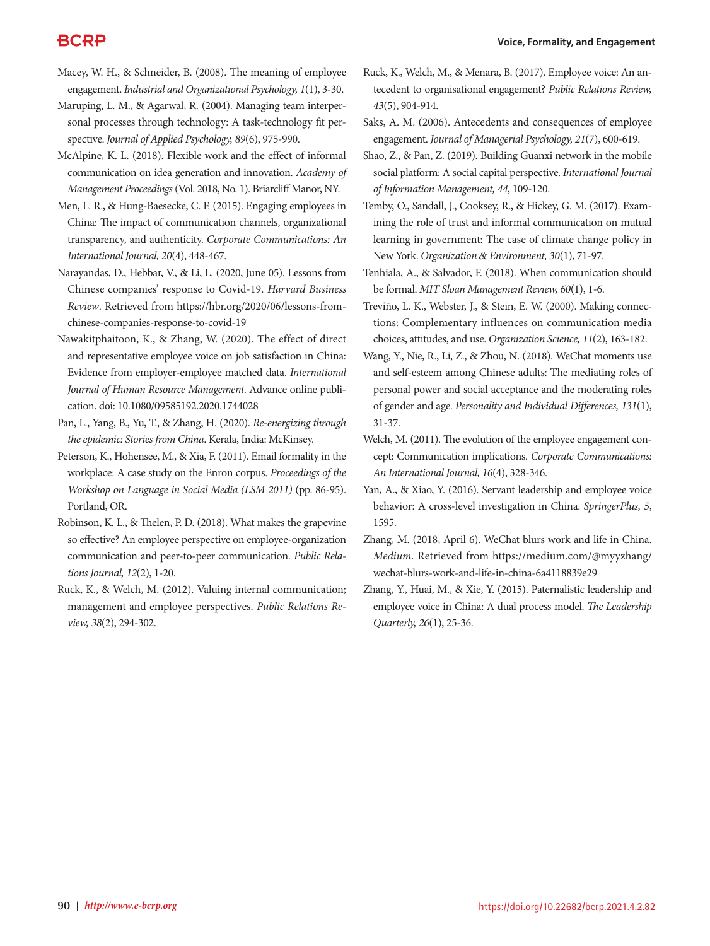## **BCRP**

- Macey, W. H., & Schneider, B. (2008). The meaning of employee engagement. *Industrial and Organizational Psychology, 1*(1), 3-30.
- Maruping, L. M., & Agarwal, R. (2004). Managing team interpersonal processes through technology: A task-technology fit perspective. *Journal of Applied Psychology, 89*(6), 975-990.
- McAlpine, K. L. (2018). Flexible work and the effect of informal communication on idea generation and innovation. *Academy of Management Proceedings* (Vol. 2018, No. 1). Briarcliff Manor, NY.
- Men, L. R., & Hung-Baesecke, C. F. (2015). Engaging employees in China: The impact of communication channels, organizational transparency, and authenticity. *Corporate Communications: An International Journal, 20*(4), 448-467.
- Narayandas, D., Hebbar, V., & Li, L. (2020, June 05). Lessons from Chinese companies' response to Covid-19. *Harvard Business Review*. Retrieved from https://hbr.org/2020/06/lessons-fromchinese-companies-response-to-covid-19
- Nawakitphaitoon, K., & Zhang, W. (2020). The effect of direct and representative employee voice on job satisfaction in China: Evidence from employer-employee matched data. *International Journal of Human Resource Management*. Advance online publication. doi: 10.1080/09585192.2020.1744028
- Pan, L., Yang, B., Yu, T., & Zhang, H. (2020). *Re-energizing through the epidemic: Stories from China*. Kerala, India: McKinsey.
- Peterson, K., Hohensee, M., & Xia, F. (2011). Email formality in the workplace: A case study on the Enron corpus. *Proceedings of the Workshop on Language in Social Media (LSM 2011)* (pp. 86-95). Portland, OR.
- Robinson, K. L., & Thelen, P. D. (2018). What makes the grapevine so effective? An employee perspective on employee-organization communication and peer-to-peer communication. *Public Relations Journal, 12*(2), 1-20.
- Ruck, K., & Welch, M. (2012). Valuing internal communication; management and employee perspectives. *Public Relations Review, 38*(2), 294-302.
- Ruck, K., Welch, M., & Menara, B. (2017). Employee voice: An antecedent to organisational engagement? *Public Relations Review, 43*(5), 904-914.
- Saks, A. M. (2006). Antecedents and consequences of employee engagement. *Journal of Managerial Psychology, 21*(7), 600-619.
- Shao, Z., & Pan, Z. (2019). Building Guanxi network in the mobile social platform: A social capital perspective. *International Journal of Information Management, 44*, 109-120.
- Temby, O., Sandall, J., Cooksey, R., & Hickey, G. M. (2017). Examining the role of trust and informal communication on mutual learning in government: The case of climate change policy in New York. *Organization* & *Environment, 30*(1), 71-97.
- Tenhiala, A., & Salvador, F. (2018). When communication should be formal. *MIT Sloan Management Review, 60*(1), 1-6.
- Treviño, L. K., Webster, J., & Stein, E. W. (2000). Making connections: Complementary influences on communication media choices, attitudes, and use. *Organization Science, 11*(2), 163-182.
- Wang, Y., Nie, R., Li, Z., & Zhou, N. (2018). WeChat moments use and self-esteem among Chinese adults: The mediating roles of personal power and social acceptance and the moderating roles of gender and age. *Personality and Individual Differences, 131*(1), 31-37.
- Welch, M. (2011). The evolution of the employee engagement concept: Communication implications. *Corporate Communications: An International Journal, 16*(4), 328-346.
- Yan, A., & Xiao, Y. (2016). Servant leadership and employee voice behavior: A cross-level investigation in China. *SpringerPlus, 5*, 1595.
- Zhang, M. (2018, April 6). WeChat blurs work and life in China. *Medium*. Retrieved from https://medium.com/@myyzhang/ wechat-blurs-work-and-life-in-china-6a4118839e29
- Zhang, Y., Huai, M., & Xie, Y. (2015). Paternalistic leadership and employee voice in China: A dual process model. *The Leadership Quarterly, 26*(1), 25-36.